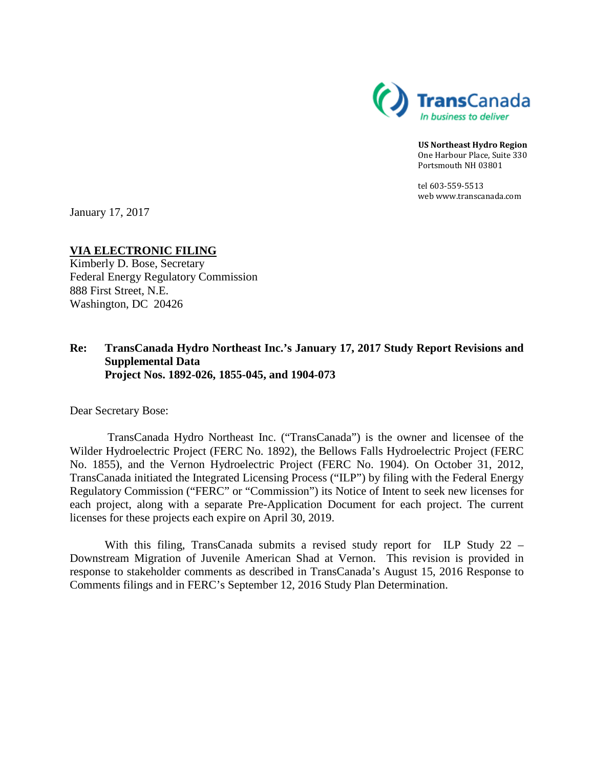

**US Northeast Hydro Region** One Harbour Place, Suite 330 Portsmouth NH 03801

tel 603-559-5513 web www.transcanada.com

January 17, 2017

## **VIA ELECTRONIC FILING**

Kimberly D. Bose, Secretary Federal Energy Regulatory Commission 888 First Street, N.E. Washington, DC 20426

## **Re: TransCanada Hydro Northeast Inc.'s January 17, 2017 Study Report Revisions and Supplemental Data Project Nos. 1892-026, 1855-045, and 1904-073**

Dear Secretary Bose:

TransCanada Hydro Northeast Inc. ("TransCanada") is the owner and licensee of the Wilder Hydroelectric Project (FERC No. 1892), the Bellows Falls Hydroelectric Project (FERC No. 1855), and the Vernon Hydroelectric Project (FERC No. 1904). On October 31, 2012, TransCanada initiated the Integrated Licensing Process ("ILP") by filing with the Federal Energy Regulatory Commission ("FERC" or "Commission") its Notice of Intent to seek new licenses for each project, along with a separate Pre-Application Document for each project. The current licenses for these projects each expire on April 30, 2019.

With this filing, TransCanada submits a revised study report for ILP Study 22 – Downstream Migration of Juvenile American Shad at Vernon. This revision is provided in response to stakeholder comments as described in TransCanada's August 15, 2016 Response to Comments filings and in FERC's September 12, 2016 Study Plan Determination.